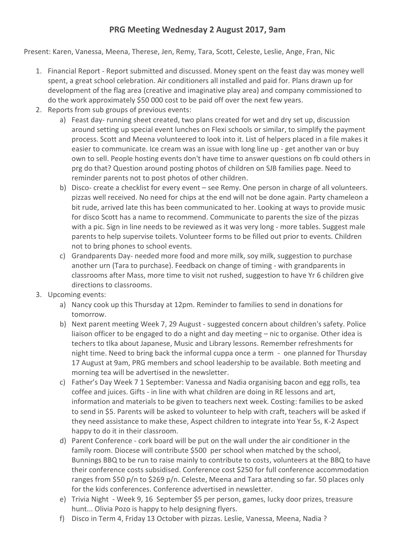## **PRG Meeting Wednesday 2 August 2017, 9am**

Present: Karen, Vanessa, Meena, Therese, Jen, Remy, Tara, Scott, Celeste, Leslie, Ange, Fran, Nic

- 1. Financial Report Report submitted and discussed. Money spent on the feast day was money well spent, a great school celebration. Air conditioners all installed and paid for. Plans drawn up for development of the flag area (creative and imaginative play area) and company commissioned to do the work approximately \$50 000 cost to be paid off over the next few years.
- 2. Reports from sub groups of previous events:
	- a) Feast day- running sheet created, two plans created for wet and dry set up, discussion around setting up special event lunches on Flexi schools or similar, to simplify the payment process. Scott and Meena volunteered to look into it. List of helpers placed in a file makes it easier to communicate. Ice cream was an issue with long line up - get another van or buy own to sell. People hosting events don't have time to answer questions on fb could others in prg do that? Question around posting photos of children on SJB families page. Need to reminder parents not to post photos of other children.
	- b) Disco- create a checklist for every event see Remy. One person in charge of all volunteers. pizzas well received. No need for chips at the end will not be done again. Party chameleon a bit rude, arrived late this has been communicated to her. Looking at ways to provide music for disco Scott has a name to recommend. Communicate to parents the size of the pizzas with a pic. Sign in line needs to be reviewed as it was very long - more tables. Suggest male parents to help supervise toilets. Volunteer forms to be filled out prior to events. Children not to bring phones to school events.
	- c) Grandparents Day- needed more food and more milk, soy milk, suggestion to purchase another urn (Tara to purchase). Feedback on change of timing - with grandparents in classrooms after Mass, more time to visit not rushed, suggestion to have Yr 6 children give directions to classrooms.
- 3. Upcoming events:
	- a) Nancy cook up this Thursday at 12pm. Reminder to families to send in donations for tomorrow.
	- b) Next parent meeting Week 7, 29 August suggested concern about children's safety. Police liaison officer to be engaged to do a night and day meeting – nic to organise. Other idea is techers to tlka about Japanese, Music and Library lessons. Remember refreshments for night time. Need to bring back the informal cuppa once a term - one planned for Thursday 17 August at 9am, PRG members and school leadership to be available. Both meeting and morning tea will be advertised in the newsletter.
	- c) Father's Day Week 7 1 September: Vanessa and Nadia organising bacon and egg rolls, tea coffee and juices. Gifts - in line with what children are doing in RE lessons and art, information and materials to be given to teachers next week. Costing: families to be asked to send in \$5. Parents will be asked to volunteer to help with craft, teachers will be asked if they need assistance to make these, Aspect children to integrate into Year 5s, K-2 Aspect happy to do it in their classroom.
	- d) Parent Conference cork board will be put on the wall under the air conditioner in the family room. Diocese will contribute \$500 per school when matched by the school, Bunnings BBQ to be run to raise mainly to contribute to costs, volunteers at the BBQ to have their conference costs subsidised. Conference cost \$250 for full conference accommodation ranges from \$50 p/n to \$269 p/n. Celeste, Meena and Tara attending so far. 50 places only for the kids conferences. Conference advertised in newsletter.
	- e) Trivia Night Week 9, 16 September \$5 per person, games, lucky door prizes, treasure hunt... Olivia Pozo is happy to help designing flyers.
	- f) Disco in Term 4, Friday 13 October with pizzas. Leslie, Vanessa, Meena, Nadia ?